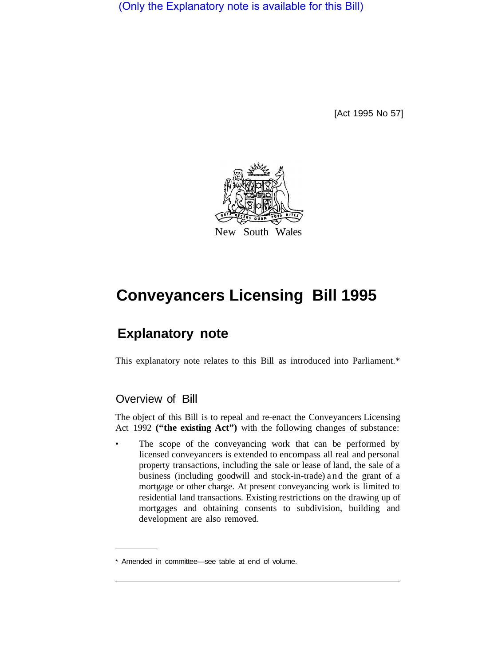(Only the Explanatory note is available for this Bill)

[Act 1995 No 57]



# **Conveyancers Licensing Bill 1995**

## **Explanatory note**

This explanatory note relates to this Bill as introduced into Parliament.\*

## Overview of Bill

The object of this Bill is to repeal and re-enact the Conveyancers Licensing Act 1992 **("the existing Act")** with the following changes of substance:

• The scope of the conveyancing work that can be performed by licensed conveyancers is extended to encompass all real and personal property transactions, including the sale or lease of land, the sale of a business (including goodwill and stock-in-trade) and the grant of a mortgage or other charge. At present conveyancing work is limited to residential land transactions. Existing restrictions on the drawing up of mortgages and obtaining consents to subdivision, building and development are also removed.

<sup>\*</sup> Amended in committee—see table at end of volume.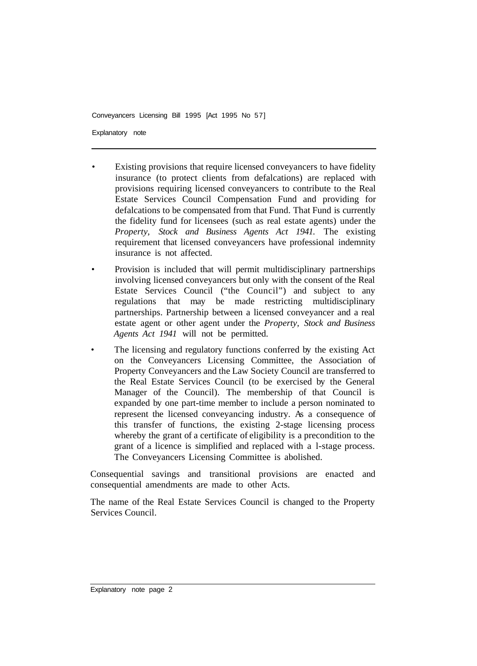Explanatory note

- Existing provisions that require licensed conveyancers to have fidelity insurance (to protect clients from defalcations) are replaced with provisions requiring licensed conveyancers to contribute to the Real Estate Services Council Compensation Fund and providing for defalcations to be compensated from that Fund. That Fund is currently the fidelity fund for licensees (such as real estate agents) under the *Property, Stock and Business Agents Act 1941.* The existing requirement that licensed conveyancers have professional indemnity insurance is not affected.
- Provision is included that will permit multidisciplinary partnerships involving licensed conveyancers but only with the consent of the Real Estate Services Council ("the Council") and subject to any regulations that may be made restricting multidisciplinary partnerships. Partnership between a licensed conveyancer and a real estate agent or other agent under the *Property, Stock and Business Agents Act 1941* will not be permitted.
- The licensing and regulatory functions conferred by the existing Act on the Conveyancers Licensing Committee, the Association of Property Conveyancers and the Law Society Council are transferred to the Real Estate Services Council (to be exercised by the General Manager of the Council). The membership of that Council is expanded by one part-time member to include a person nominated to represent the licensed conveyancing industry. As a consequence of this transfer of functions, the existing 2-stage licensing process whereby the grant of a certificate of eligibility is a precondition to the grant of a licence is simplified and replaced with a l-stage process. The Conveyancers Licensing Committee is abolished.

Consequential savings and transitional provisions are enacted and consequential amendments are made to other Acts.

The name of the Real Estate Services Council is changed to the Property Services Council.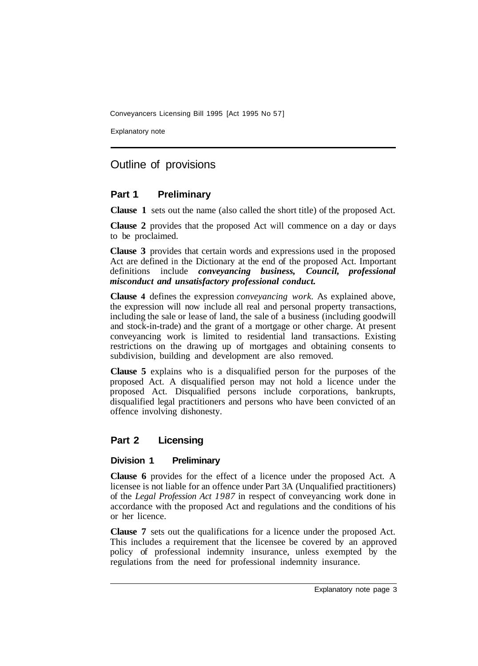Explanatory note

## Outline of provisions

## **Part 1 Preliminary**

**Clause 1** sets out the name (also called the short title) of the proposed Act.

**Clause 2** provides that the proposed Act will commence on a day or days to be proclaimed.

**Clause 3** provides that certain words and expressions used in the proposed Act are defined in the Dictionary at the end of the proposed Act. Important definitions include *conveyancing business, Council, professional misconduct and unsatisfactory professional conduct.* 

**Clause 4** defines the expression *conveyancing work.* As explained above, the expression will now include all real and personal property transactions, including the sale or lease of land, the sale of a business (including goodwill and stock-in-trade) and the grant of a mortgage or other charge. At present conveyancing work is limited to residential land transactions. Existing restrictions on the drawing up of mortgages and obtaining consents to subdivision, building and development are also removed.

**Clause 5** explains who is a disqualified person for the purposes of the proposed Act. A disqualified person may not hold a licence under the proposed Act. Disqualified persons include corporations, bankrupts, disqualified legal practitioners and persons who have been convicted of an offence involving dishonesty.

## **Part 2 Licensing**

## **Division 1 Preliminary**

**Clause 6** provides for the effect of a licence under the proposed Act. A licensee is not liable for an offence under Part 3A (Unqualified practitioners) of the *Legal Profession Act 1987* in respect of conveyancing work done in accordance with the proposed Act and regulations and the conditions of his or her licence.

**Clause 7** sets out the qualifications for a licence under the proposed Act. This includes a requirement that the licensee be covered by an approved policy of professional indemnity insurance, unless exempted by the regulations from the need for professional indemnity insurance.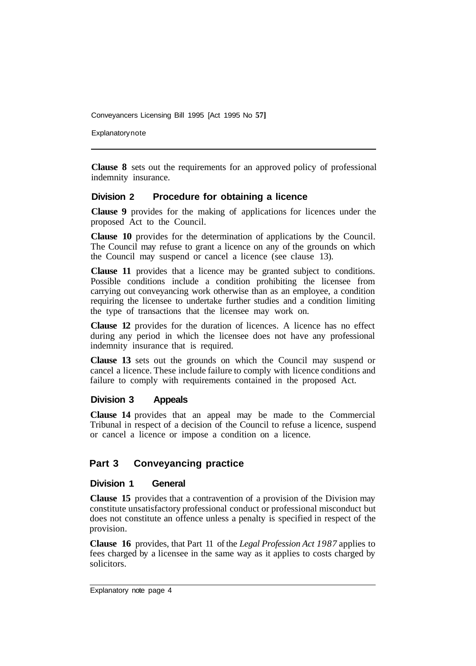**Explanatory note** 

**Clause 8** sets out the requirements for an approved policy of professional indemnity insurance.

#### **Division 2 Procedure for obtaining a licence**

**Clause 9** provides for the making of applications for licences under the proposed Act to the Council.

**Clause 10** provides for the determination of applications by the Council. The Council may refuse to grant a licence on any of the grounds on which the Council may suspend or cancel a licence (see clause 13).

**Clause 11** provides that a licence may be granted subject to conditions. Possible conditions include a condition prohibiting the licensee from carrying out conveyancing work otherwise than as an employee, a condition requiring the licensee to undertake further studies and a condition limiting the type of transactions that the licensee may work on.

**Clause 12** provides for the duration of licences. A licence has no effect during any period in which the licensee does not have any professional indemnity insurance that is required.

**Clause 13** sets out the grounds on which the Council may suspend or cancel a licence. These include failure to comply with licence conditions and failure to comply with requirements contained in the proposed Act.

#### **Division 3 Appeals**

**Clause 14** provides that an appeal may be made to the Commercial Tribunal in respect of a decision of the Council to refuse a licence, suspend or cancel a licence or impose a condition on a licence.

## **Part 3 Conveyancing practice**

#### **Division 1 General**

**Clause 15** provides that a contravention of a provision of the Division may constitute unsatisfactory professional conduct or professional misconduct but does not constitute an offence unless a penalty is specified in respect of the provision.

**Clause 16** provides, that Part 11 of the *Legal Profession Act 1987* applies to fees charged by a licensee in the same way as it applies to costs charged by solicitors.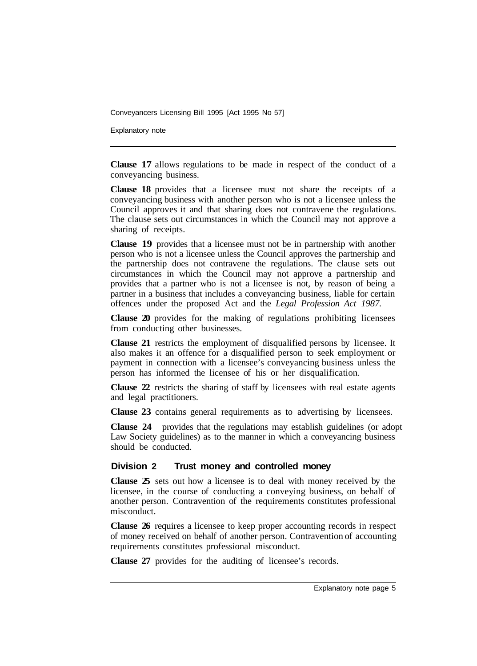Explanatory note

**Clause 17** allows regulations to be made in respect of the conduct of a conveyancing business.

**Clause 18** provides that a licensee must not share the receipts of a conveyancing business with another person who is not a licensee unless the Council approves it and that sharing does not contravene the regulations. The clause sets out circumstances in which the Council may not approve a sharing of receipts.

**Clause 19** provides that a licensee must not be in partnership with another person who is not a licensee unless the Council approves the partnership and the partnership does not contravene the regulations. The clause sets out circumstances in which the Council may not approve a partnership and provides that a partner who is not a licensee is not, by reason of being a partner in a business that includes a conveyancing business, liable for certain offences under the proposed Act and the *Legal Profession Act 1987.* 

**Clause 20** provides for the making of regulations prohibiting licensees from conducting other businesses.

**Clause 21** restricts the employment of disqualified persons by licensee. It also makes it an offence for a disqualified person to seek employment or payment in connection with a licensee's conveyancing business unless the person has informed the licensee of his or her disqualification.

**Clause 22** restricts the sharing of staff by licensees with real estate agents and legal practitioners.

**Clause 23** contains general requirements as to advertising by licensees.

**Clause 24** provides that the regulations may establish guidelines (or adopt Law Society guidelines) as to the manner in which a conveyancing business should be conducted.

#### **Division 2 Trust money and controlled money**

**Clause 25** sets out how a licensee is to deal with money received by the licensee, in the course of conducting a conveying business, on behalf of another person. Contravention of the requirements constitutes professional misconduct.

**Clause 26** requires a licensee to keep proper accounting records in respect of money received on behalf of another person. Contravention of accounting requirements constitutes professional misconduct.

**Clause 27** provides for the auditing of licensee's records.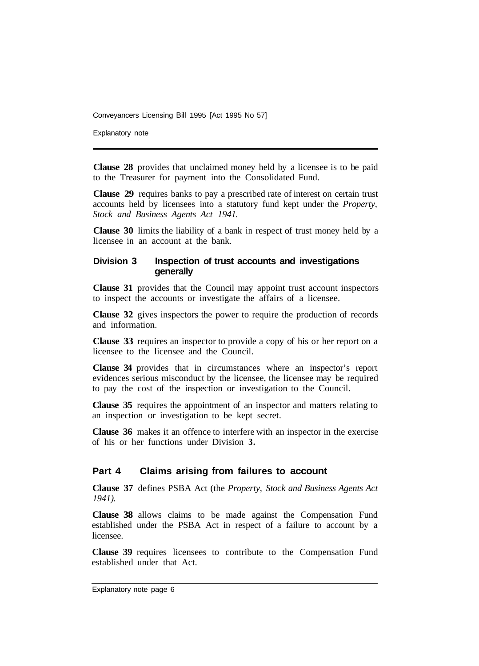Explanatory note

**Clause 28** provides that unclaimed money held by a licensee is to be paid to the Treasurer for payment into the Consolidated Fund.

**Clause 29** requires banks to pay a prescribed rate of interest on certain trust accounts held by licensees into a statutory fund kept under the *Property, Stock and Business Agents Act 1941.* 

**Clause 30** limits the liability of a bank in respect of trust money held by a licensee in an account at the bank.

#### **Division 3 Inspection of trust accounts and investigations generally**

**Clause 31** provides that the Council may appoint trust account inspectors to inspect the accounts or investigate the affairs of a licensee.

**Clause 32** gives inspectors the power to require the production of records and information.

**Clause 33** requires an inspector to provide a copy of his or her report on a licensee to the licensee and the Council.

**Clause 34** provides that in circumstances where an inspector's report evidences serious misconduct by the licensee, the licensee may be required to pay the cost of the inspection or investigation to the Council.

**Clause 35** requires the appointment of an inspector and matters relating to an inspection or investigation to be kept secret.

**Clause 36** makes it an offence to interfere with an inspector in the exercise of his or her functions under Division **3.** 

#### **Part 4 Claims arising from failures to account**

**Clause 37** defines PSBA Act (the *Property, Stock and Business Agents Act 1941).* 

**Clause 38** allows claims to be made against the Compensation Fund established under the PSBA Act in respect of a failure to account by a licensee.

**Clause 39** requires licensees to contribute to the Compensation Fund established under that Act.

Explanatory note page 6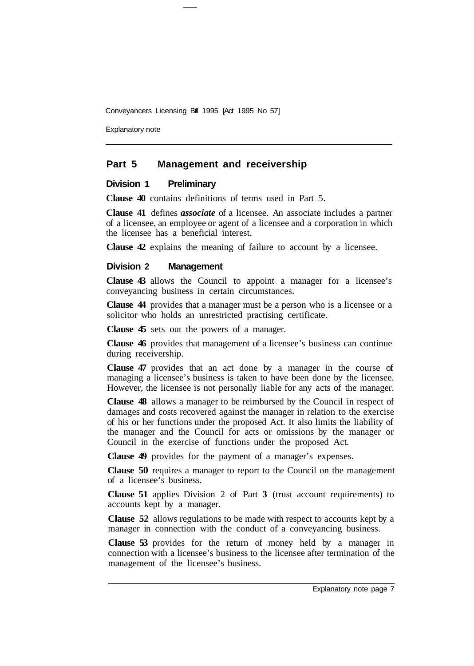Explanatory note

#### **Part 5 Management and receivership**

#### **Division 1 Preliminary**

**Clause 40** contains definitions of terms used in Part 5.

**Clause 41** defines *associate* of a licensee. An associate includes a partner of a licensee, an employee or agent of a licensee and a corporation in which the licensee has a beneficial interest.

**Clause 42** explains the meaning of failure to account by a licensee.

#### **Division 2 Management**

**Clause 43** allows the Council to appoint a manager for a licensee's conveyancing business in certain circumstances.

**Clause 44** provides that a manager must be a person who is a licensee or a solicitor who holds an unrestricted practising certificate.

**Clause 45** sets out the powers of a manager.

**Clause 46** provides that management of a licensee's business can continue during receivership.

**Clause 47** provides that an act done by a manager in the course of managing a licensee's business is taken to have been done by the licensee. However, the licensee is not personally liable for any acts of the manager.

**Clause 48** allows a manager to be reimbursed by the Council in respect of damages and costs recovered against the manager in relation to the exercise of his or her functions under the proposed Act. It also limits the liability of the manager and the Council for acts or omissions by the manager or Council in the exercise of functions under the proposed Act.

**Clause 49** provides for the payment of a manager's expenses.

**Clause 50** requires a manager to report to the Council on the management of a licensee's business.

**Clause 51** applies Division 2 of Part **3** (trust account requirements) to accounts kept by a manager.

**Clause 52** allows regulations to be made with respect to accounts kept by a manager in connection with the conduct of a conveyancing business.

**Clause 53** provides for the return of money held by a manager in connection with a licensee's business to the licensee after termination of the management of the licensee's business.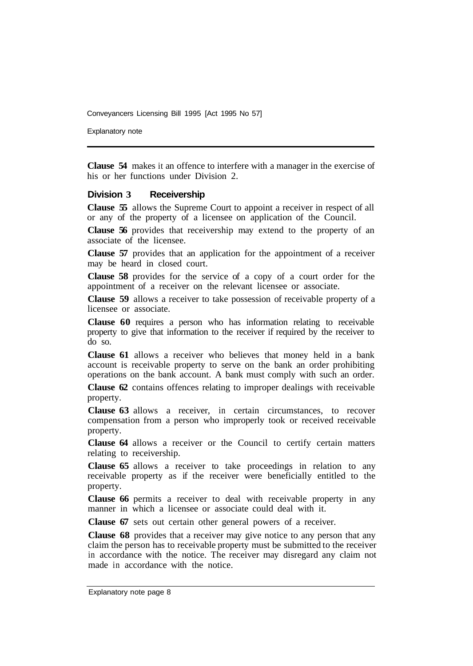Explanatory note

**Clause 54** makes it an offence to interfere with a manager in the exercise of his or her functions under Division 2.

#### **Division 3 Receivership**

**Clause 55** allows the Supreme Court to appoint a receiver in respect of all or any of the property of a licensee on application of the Council.

**Clause 56** provides that receivership may extend to the property of an associate of the licensee.

**Clause 57** provides that an application for the appointment of a receiver may be heard in closed court.

**Clause 58** provides for the service of a copy of a court order for the appointment of a receiver on the relevant licensee or associate.

**Clause 59** allows a receiver to take possession of receivable property of a licensee or associate.

**Clause 60** requires a person who has information relating to receivable property to give that information to the receiver if required by the receiver to do so.

**Clause 61** allows a receiver who believes that money held in a bank account is receivable property to serve on the bank an order prohibiting operations on the bank account. A bank must comply with such an order.

**Clause 62** contains offences relating to improper dealings with receivable property.

**Clause 63** allows a receiver, in certain circumstances, to recover compensation from a person who improperly took or received receivable property.

**Clause 64** allows a receiver or the Council to certify certain matters relating to receivership.

**Clause 65** allows a receiver to take proceedings in relation to any receivable property as if the receiver were beneficially entitled to the property.

**Clause 66** permits a receiver to deal with receivable property in any manner in which a licensee or associate could deal with it.

**Clause 67** sets out certain other general powers of a receiver.

**Clause 68** provides that a receiver may give notice to any person that any claim the person has to receivable property must be submitted to the receiver in accordance with the notice. The receiver may disregard any claim not made in accordance with the notice.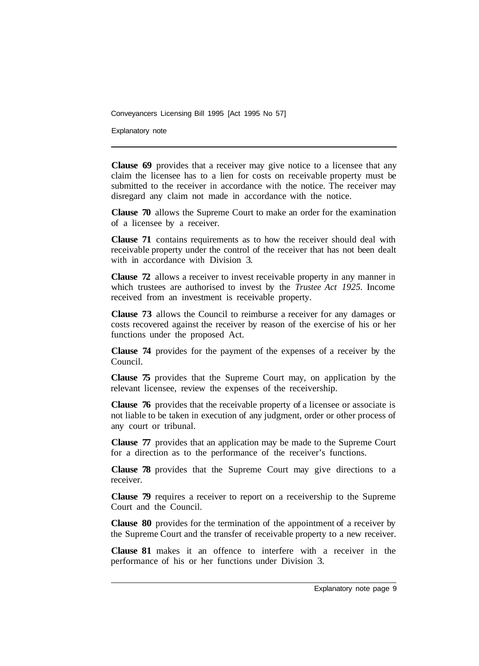Explanatory note

**Clause 69** provides that a receiver may give notice to a licensee that any claim the licensee has to a lien for costs on receivable property must be submitted to the receiver in accordance with the notice. The receiver may disregard any claim not made in accordance with the notice.

**Clause 70** allows the Supreme Court to make an order for the examination of a licensee by a receiver.

**Clause 71** contains requirements as to how the receiver should deal with receivable property under the control of the receiver that has not been dealt with in accordance with Division 3.

**Clause 72** allows a receiver to invest receivable property in any manner in which trustees are authorised to invest by the *Trustee Act 1925.* Income received from an investment is receivable property.

**Clause 73** allows the Council to reimburse a receiver for any damages or costs recovered against the receiver by reason of the exercise of his or her functions under the proposed Act.

**Clause 74** provides for the payment of the expenses of a receiver by the Council.

**Clause 75** provides that the Supreme Court may, on application by the relevant licensee, review the expenses of the receivership.

**Clause 76** provides that the receivable property of a licensee or associate is not liable to be taken in execution of any judgment, order or other process of any court or tribunal.

**Clause 77** provides that an application may be made to the Supreme Court for a direction as to the performance of the receiver's functions.

**Clause 78** provides that the Supreme Court may give directions to a receiver.

**Clause 79** requires a receiver to report on a receivership to the Supreme Court and the Council.

**Clause 80** provides for the termination of the appointment of a receiver by the Supreme Court and the transfer of receivable property to a new receiver.

**Clause 81** makes it an offence to interfere with a receiver in the performance of his or her functions under Division 3.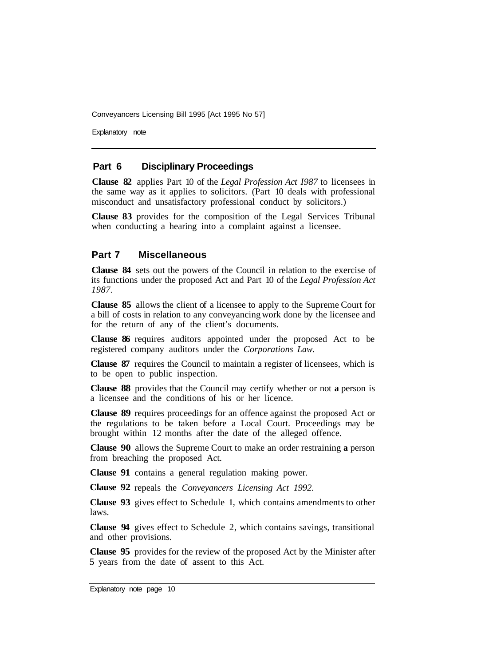Explanatory note

#### **Part 6 Disciplinary Proceedings**

**Clause 82** applies Part 10 of the *Legal Profession Act I987* to licensees in the same way as it applies to solicitors. (Part 10 deals with professional misconduct and unsatisfactory professional conduct by solicitors.)

**Clause 83** provides for the composition of the Legal Services Tribunal when conducting a hearing into a complaint against a licensee.

#### **Part 7 Miscellaneous**

**Clause 84** sets out the powers of the Council in relation to the exercise of its functions under the proposed Act and Part 10 of the *Legal Profession Act 1987.* 

**Clause 85** allows the client of a licensee to apply to the Supreme Court for a bill of costs in relation to any conveyancing work done by the licensee and for the return of any of the client's documents.

**Clause 86** requires auditors appointed under the proposed Act to be registered company auditors under the *Corporations Law.* 

**Clause 87** requires the Council to maintain a register of licensees, which is to be open to public inspection.

**Clause 88** provides that the Council may certify whether or not **a** person is a licensee and the conditions of his or her licence.

**Clause 89** requires proceedings for an offence against the proposed Act or the regulations to be taken before a Local Court. Proceedings may be brought within 12 months after the date of the alleged offence.

**Clause 90** allows the Supreme Court to make an order restraining **a** person from breaching the proposed Act.

**Clause 91**  contains a general regulation making power.

**Clause 92**  repeals the *Conveyancers Licensing Act 1992.* 

**Clause 93**  gives effect to Schedule **1,** which contains amendments to other laws.

**Clause 94**  gives effect to Schedule 2, which contains savings, transitional and other provisions.

**Clause 95** provides for the review of the proposed Act by the Minister after 5 years from the date of assent to this Act.